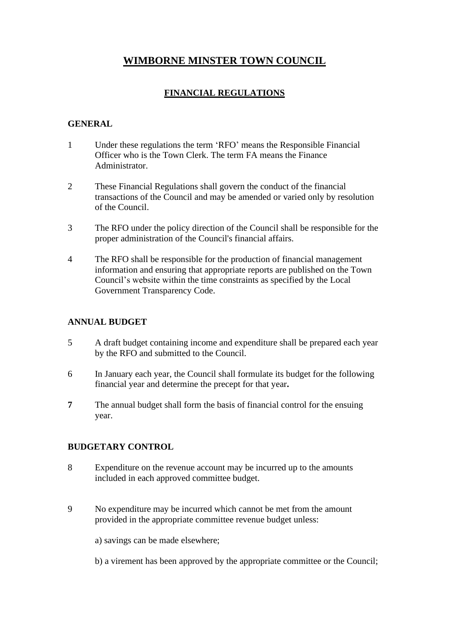# **WIMBORNE MINSTER TOWN COUNCIL**

# **FINANCIAL REGULATIONS**

#### **GENERAL**

- 1 Under these regulations the term 'RFO' means the Responsible Financial Officer who is the Town Clerk. The term FA means the Finance Administrator.
- 2 These Financial Regulations shall govern the conduct of the financial transactions of the Council and may be amended or varied only by resolution of the Council.
- 3 The RFO under the policy direction of the Council shall be responsible for the proper administration of the Council's financial affairs.
- 4 The RFO shall be responsible for the production of financial management information and ensuring that appropriate reports are published on the Town Council's website within the time constraints as specified by the Local Government Transparency Code.

### **ANNUAL BUDGET**

- 5 A draft budget containing income and expenditure shall be prepared each year by the RFO and submitted to the Council.
- 6 In January each year, the Council shall formulate its budget for the following financial year and determine the precept for that year**.**
- **7** The annual budget shall form the basis of financial control for the ensuing year.

#### **BUDGETARY CONTROL**

- 8 Expenditure on the revenue account may be incurred up to the amounts included in each approved committee budget.
- 9 No expenditure may be incurred which cannot be met from the amount provided in the appropriate committee revenue budget unless:

a) savings can be made elsewhere;

b) a virement has been approved by the appropriate committee or the Council;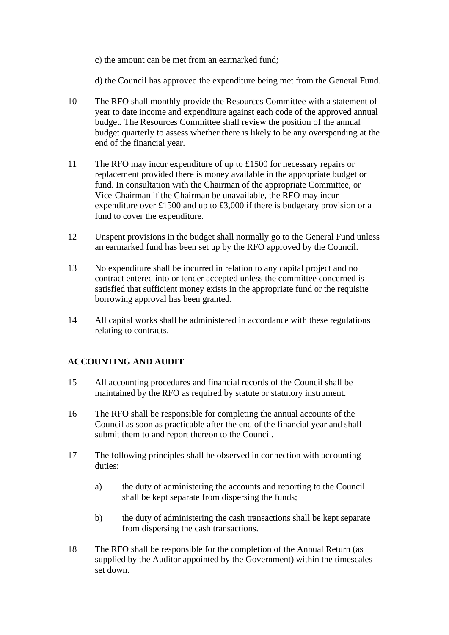c) the amount can be met from an earmarked fund;

d) the Council has approved the expenditure being met from the General Fund.

- 10 The RFO shall monthly provide the Resources Committee with a statement of year to date income and expenditure against each code of the approved annual budget. The Resources Committee shall review the position of the annual budget quarterly to assess whether there is likely to be any overspending at the end of the financial year.
- 11 The RFO may incur expenditure of up to £1500 for necessary repairs or replacement provided there is money available in the appropriate budget or fund. In consultation with the Chairman of the appropriate Committee, or Vice-Chairman if the Chairman be unavailable, the RFO may incur expenditure over £1500 and up to £3,000 if there is budgetary provision or a fund to cover the expenditure.
- 12 Unspent provisions in the budget shall normally go to the General Fund unless an earmarked fund has been set up by the RFO approved by the Council.
- 13 No expenditure shall be incurred in relation to any capital project and no contract entered into or tender accepted unless the committee concerned is satisfied that sufficient money exists in the appropriate fund or the requisite borrowing approval has been granted.
- 14 All capital works shall be administered in accordance with these regulations relating to contracts.

### **ACCOUNTING AND AUDIT**

- 15 All accounting procedures and financial records of the Council shall be maintained by the RFO as required by statute or statutory instrument.
- 16 The RFO shall be responsible for completing the annual accounts of the Council as soon as practicable after the end of the financial year and shall submit them to and report thereon to the Council.
- 17 The following principles shall be observed in connection with accounting duties:
	- a) the duty of administering the accounts and reporting to the Council shall be kept separate from dispersing the funds;
	- b) the duty of administering the cash transactions shall be kept separate from dispersing the cash transactions.
- 18 The RFO shall be responsible for the completion of the Annual Return (as supplied by the Auditor appointed by the Government) within the timescales set down.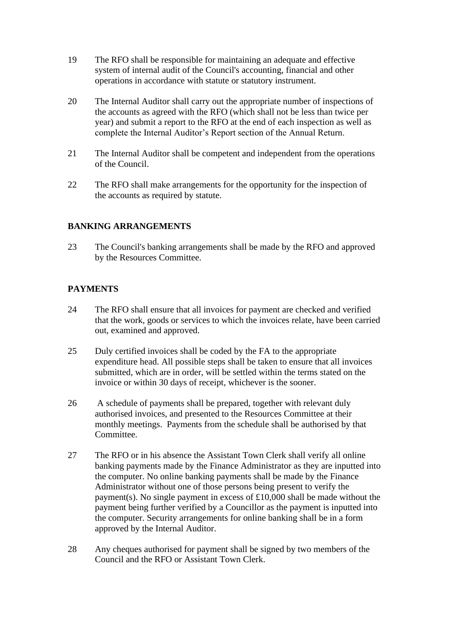- 19 The RFO shall be responsible for maintaining an adequate and effective system of internal audit of the Council's accounting, financial and other operations in accordance with statute or statutory instrument.
- 20 The Internal Auditor shall carry out the appropriate number of inspections of the accounts as agreed with the RFO (which shall not be less than twice per year) and submit a report to the RFO at the end of each inspection as well as complete the Internal Auditor's Report section of the Annual Return.
- 21 The Internal Auditor shall be competent and independent from the operations of the Council.
- 22 The RFO shall make arrangements for the opportunity for the inspection of the accounts as required by statute.

### **BANKING ARRANGEMENTS**

23 The Council's banking arrangements shall be made by the RFO and approved by the Resources Committee.

### **PAYMENTS**

- 24 The RFO shall ensure that all invoices for payment are checked and verified that the work, goods or services to which the invoices relate, have been carried out, examined and approved.
- 25 Duly certified invoices shall be coded by the FA to the appropriate expenditure head. All possible steps shall be taken to ensure that all invoices submitted, which are in order, will be settled within the terms stated on the invoice or within 30 days of receipt, whichever is the sooner.
- 26 A schedule of payments shall be prepared, together with relevant duly authorised invoices, and presented to the Resources Committee at their monthly meetings. Payments from the schedule shall be authorised by that Committee.
- 27 The RFO or in his absence the Assistant Town Clerk shall verify all online banking payments made by the Finance Administrator as they are inputted into the computer. No online banking payments shall be made by the Finance Administrator without one of those persons being present to verify the payment(s). No single payment in excess of £10,000 shall be made without the payment being further verified by a Councillor as the payment is inputted into the computer. Security arrangements for online banking shall be in a form approved by the Internal Auditor.
- 28 Any cheques authorised for payment shall be signed by two members of the Council and the RFO or Assistant Town Clerk.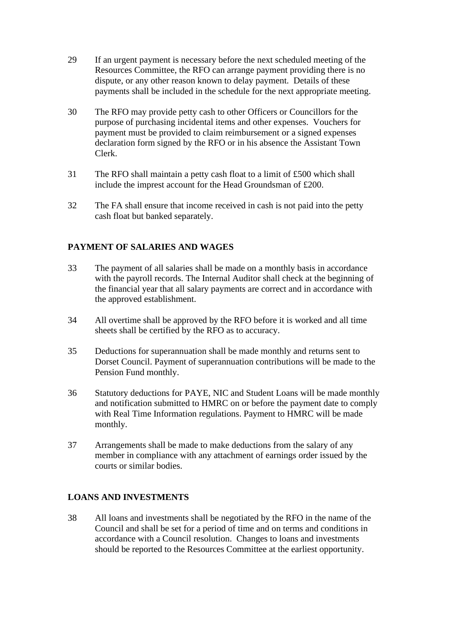- 29 If an urgent payment is necessary before the next scheduled meeting of the Resources Committee, the RFO can arrange payment providing there is no dispute, or any other reason known to delay payment. Details of these payments shall be included in the schedule for the next appropriate meeting.
- 30 The RFO may provide petty cash to other Officers or Councillors for the purpose of purchasing incidental items and other expenses. Vouchers for payment must be provided to claim reimbursement or a signed expenses declaration form signed by the RFO or in his absence the Assistant Town Clerk.
- 31 The RFO shall maintain a petty cash float to a limit of £500 which shall include the imprest account for the Head Groundsman of £200.
- 32 The FA shall ensure that income received in cash is not paid into the petty cash float but banked separately.

### **PAYMENT OF SALARIES AND WAGES**

- 33 The payment of all salaries shall be made on a monthly basis in accordance with the payroll records. The Internal Auditor shall check at the beginning of the financial year that all salary payments are correct and in accordance with the approved establishment.
- 34 All overtime shall be approved by the RFO before it is worked and all time sheets shall be certified by the RFO as to accuracy.
- 35 Deductions for superannuation shall be made monthly and returns sent to Dorset Council. Payment of superannuation contributions will be made to the Pension Fund monthly.
- 36 Statutory deductions for PAYE, NIC and Student Loans will be made monthly and notification submitted to HMRC on or before the payment date to comply with Real Time Information regulations. Payment to HMRC will be made monthly.
- 37 Arrangements shall be made to make deductions from the salary of any member in compliance with any attachment of earnings order issued by the courts or similar bodies.

### **LOANS AND INVESTMENTS**

38 All loans and investments shall be negotiated by the RFO in the name of the Council and shall be set for a period of time and on terms and conditions in accordance with a Council resolution. Changes to loans and investments should be reported to the Resources Committee at the earliest opportunity.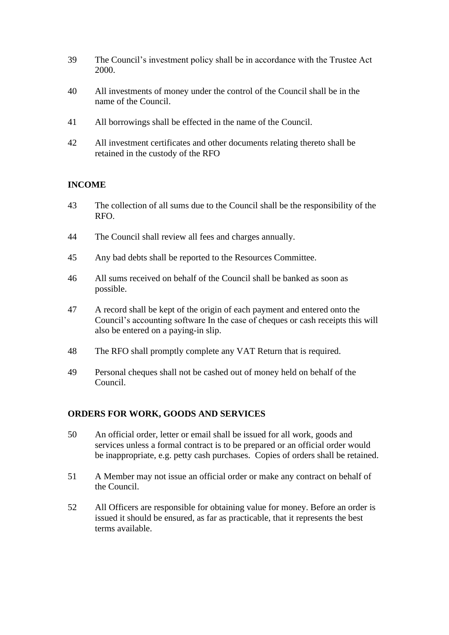- 39 The Council's investment policy shall be in accordance with the Trustee Act 2000.
- 40 All investments of money under the control of the Council shall be in the name of the Council.
- 41 All borrowings shall be effected in the name of the Council.
- 42 All investment certificates and other documents relating thereto shall be retained in the custody of the RFO

## **INCOME**

- 43 The collection of all sums due to the Council shall be the responsibility of the RFO.
- 44 The Council shall review all fees and charges annually.
- 45 Any bad debts shall be reported to the Resources Committee.
- 46 All sums received on behalf of the Council shall be banked as soon as possible.
- 47 A record shall be kept of the origin of each payment and entered onto the Council's accounting software In the case of cheques or cash receipts this will also be entered on a paying-in slip.
- 48 The RFO shall promptly complete any VAT Return that is required.
- 49 Personal cheques shall not be cashed out of money held on behalf of the Council.

### **ORDERS FOR WORK, GOODS AND SERVICES**

- 50 An official order, letter or email shall be issued for all work, goods and services unless a formal contract is to be prepared or an official order would be inappropriate, e.g. petty cash purchases. Copies of orders shall be retained.
- 51 A Member may not issue an official order or make any contract on behalf of the Council.
- 52 All Officers are responsible for obtaining value for money. Before an order is issued it should be ensured, as far as practicable, that it represents the best terms available.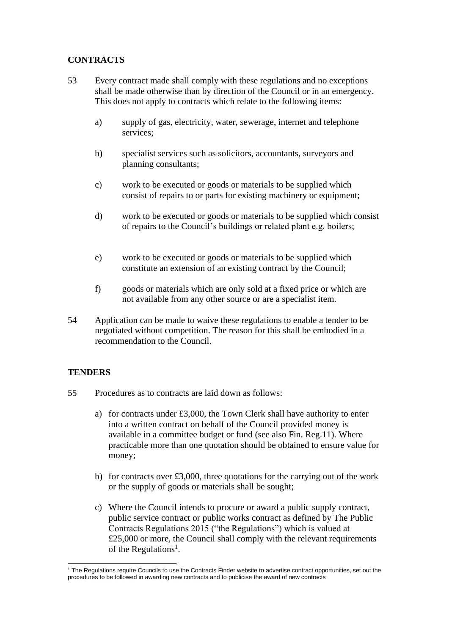## **CONTRACTS**

- 53 Every contract made shall comply with these regulations and no exceptions shall be made otherwise than by direction of the Council or in an emergency. This does not apply to contracts which relate to the following items:
	- a) supply of gas, electricity, water, sewerage, internet and telephone services;
	- b) specialist services such as solicitors, accountants, surveyors and planning consultants;
	- c) work to be executed or goods or materials to be supplied which consist of repairs to or parts for existing machinery or equipment;
	- d) work to be executed or goods or materials to be supplied which consist of repairs to the Council's buildings or related plant e.g. boilers;
	- e) work to be executed or goods or materials to be supplied which constitute an extension of an existing contract by the Council;
	- f) goods or materials which are only sold at a fixed price or which are not available from any other source or are a specialist item.
- 54 Application can be made to waive these regulations to enable a tender to be negotiated without competition. The reason for this shall be embodied in a recommendation to the Council.

### **TENDERS**

- 55 Procedures as to contracts are laid down as follows:
	- a) for contracts under £3,000, the Town Clerk shall have authority to enter into a written contract on behalf of the Council provided money is available in a committee budget or fund (see also Fin. Reg.11). Where practicable more than one quotation should be obtained to ensure value for money;
	- b) for contracts over £3,000, three quotations for the carrying out of the work or the supply of goods or materials shall be sought;
	- c) Where the Council intends to procure or award a public supply contract, public service contract or public works contract as defined by The Public Contracts Regulations 2015 ("the Regulations") which is valued at £25,000 or more, the Council shall comply with the relevant requirements of the Regulations<sup>1</sup>.

<sup>1</sup> The Regulations require Councils to use the Contracts Finder website to advertise contract opportunities, set out the procedures to be followed in awarding new contracts and to publicise the award of new contracts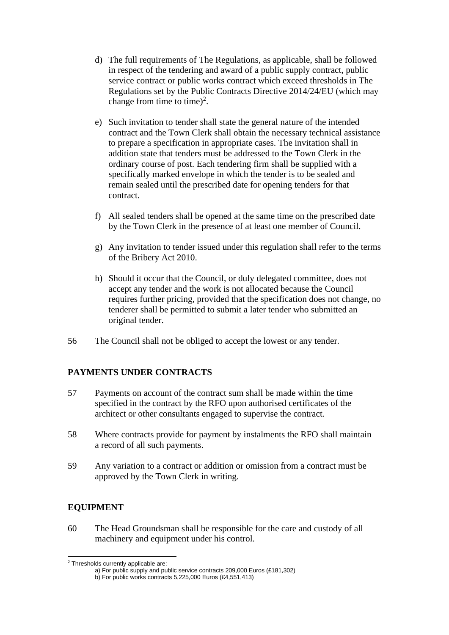- d) The full requirements of The Regulations, as applicable, shall be followed in respect of the tendering and award of a public supply contract, public service contract or public works contract which exceed thresholds in The Regulations set by the Public Contracts Directive 2014/24/EU (which may change from time to time)<sup>2</sup>.
- e) Such invitation to tender shall state the general nature of the intended contract and the Town Clerk shall obtain the necessary technical assistance to prepare a specification in appropriate cases. The invitation shall in addition state that tenders must be addressed to the Town Clerk in the ordinary course of post. Each tendering firm shall be supplied with a specifically marked envelope in which the tender is to be sealed and remain sealed until the prescribed date for opening tenders for that contract.
- f) All sealed tenders shall be opened at the same time on the prescribed date by the Town Clerk in the presence of at least one member of Council.
- g) Any invitation to tender issued under this regulation shall refer to the terms of the Bribery Act 2010.
- h) Should it occur that the Council, or duly delegated committee, does not accept any tender and the work is not allocated because the Council requires further pricing, provided that the specification does not change, no tenderer shall be permitted to submit a later tender who submitted an original tender.
- 56 The Council shall not be obliged to accept the lowest or any tender.

### **PAYMENTS UNDER CONTRACTS**

- 57 Payments on account of the contract sum shall be made within the time specified in the contract by the RFO upon authorised certificates of the architect or other consultants engaged to supervise the contract.
- 58 Where contracts provide for payment by instalments the RFO shall maintain a record of all such payments.
- 59 Any variation to a contract or addition or omission from a contract must be approved by the Town Clerk in writing.

### **EQUIPMENT**

60 The Head Groundsman shall be responsible for the care and custody of all machinery and equipment under his control.

<sup>2</sup> Thresholds currently applicable are:

a) For public supply and public service contracts 209,000 Euros (£181,302)

b) For public works contracts 5,225,000 Euros (£4,551,413)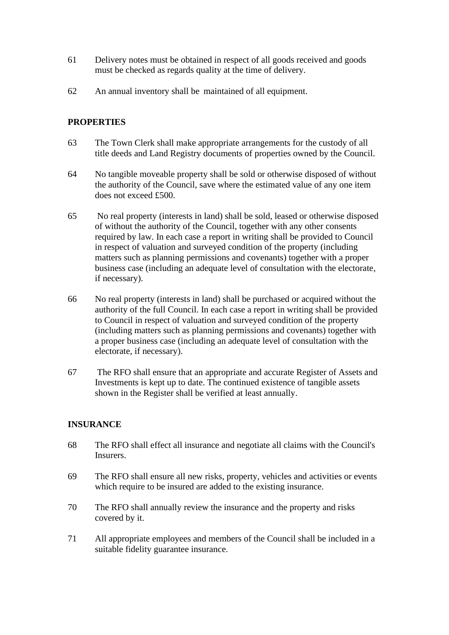- 61 Delivery notes must be obtained in respect of all goods received and goods must be checked as regards quality at the time of delivery.
- 62 An annual inventory shall be maintained of all equipment.

### **PROPERTIES**

- 63 The Town Clerk shall make appropriate arrangements for the custody of all title deeds and Land Registry documents of properties owned by the Council.
- 64 No tangible moveable property shall be sold or otherwise disposed of without the authority of the Council, save where the estimated value of any one item does not exceed £500.
- 65 No real property (interests in land) shall be sold, leased or otherwise disposed of without the authority of the Council, together with any other consents required by law. In each case a report in writing shall be provided to Council in respect of valuation and surveyed condition of the property (including matters such as planning permissions and covenants) together with a proper business case (including an adequate level of consultation with the electorate, if necessary).
- 66 No real property (interests in land) shall be purchased or acquired without the authority of the full Council. In each case a report in writing shall be provided to Council in respect of valuation and surveyed condition of the property (including matters such as planning permissions and covenants) together with a proper business case (including an adequate level of consultation with the electorate, if necessary).
- 67 The RFO shall ensure that an appropriate and accurate Register of Assets and Investments is kept up to date. The continued existence of tangible assets shown in the Register shall be verified at least annually.

### **INSURANCE**

- 68 The RFO shall effect all insurance and negotiate all claims with the Council's Insurers.
- 69 The RFO shall ensure all new risks, property, vehicles and activities or events which require to be insured are added to the existing insurance.
- 70 The RFO shall annually review the insurance and the property and risks covered by it.
- 71 All appropriate employees and members of the Council shall be included in a suitable fidelity guarantee insurance.